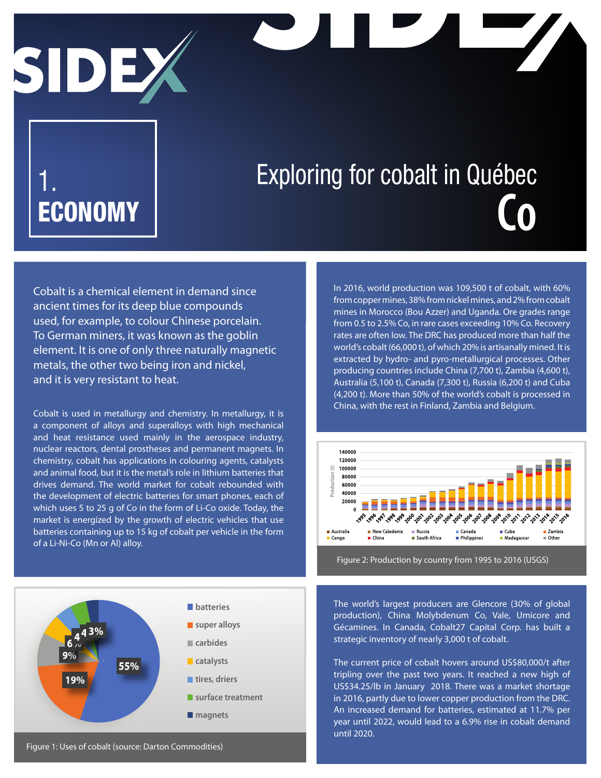# SIDE

## 1. ECONOMY

# Exploring for cobalt in Québec **Co**

Cobalt is a chemical element in demand since ancient times for its deep blue compounds used, for example, to colour Chinese porcelain. To German miners, it was known as the goblin element. It is one of only three naturally magnetic metals, the other two being iron and nickel, and it is very resistant to heat.

Cobalt is used in metallurgy and chemistry. In metallurgy, it is a component of alloys and superalloys with high mechanical and heat resistance used mainly in the aerospace industry, nuclear reactors, dental prostheses and permanent magnets. In chemistry, cobalt has applications in colouring agents, catalysts and animal food, but it is the metal's role in lithium batteries that drives demand. The world market for cobalt rebounded with the development of electric batteries for smart phones, each of which uses 5 to 25 g of Co in the form of Li-Co oxide. Today, the market is energized by the growth of electric vehicles that use batteries containing up to 15 kg of cobalt per vehicle in the form of a Li-Ni-Co (Mn or Al) alloy.

In 2016, world production was 109,500 t of cobalt, with 60% from copper mines, 38% from nickel mines, and 2% from cobalt mines in Morocco (Bou Azzer) and Uganda. Ore grades range from 0.5 to 2.5% Co, in rare cases exceeding 10% Co. Recovery rates are often low. The DRC has produced more than half the world's cobalt (66,000 t), of which 20% is artisanally mined. It is extracted by hydro- and pyro-metallurgical processes. Other producing countries include China (7,700 t), Zambia (4,600 t), Australia (5,100 t), Canada (7,300 t), Russia (6,200 t) and Cuba (4,200 t). More than 50% of the world's cobalt is processed in China, with the rest in Finland, Zambia and Belgium.



Figure 2: Production by country from 1995 to 2016 (USGS)



The world's largest producers are Glencore (30% of global production), China Molybdenum Co, Vale, Umicore and Gécamines. In Canada, Cobalt27 Capital Corp. has built a strategic inventory of nearly 3,000 t of cobalt.

The current price of cobalt hovers around US\$80,000/t after tripling over the past two years. It reached a new high of US\$34.25/lb in January 2018. There was a market shortage in 2016, partly due to lower copper production from the DRC. An increased demand for batteries, estimated at 11.7% per year until 2022, would lead to a 6.9% rise in cobalt demand until 2020.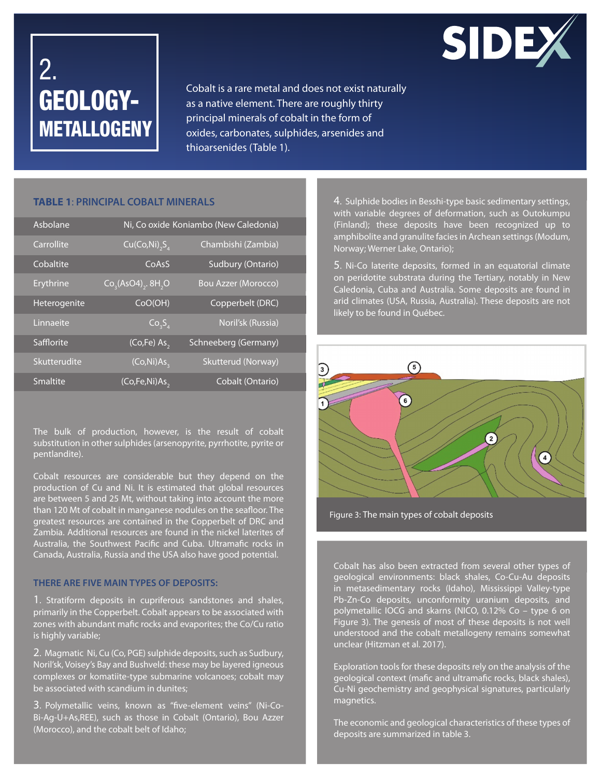

### 2. GEOLOGY-**METALLOGENY**

Cobalt is a rare metal and does not exist naturally as a native element. There are roughly thirty principal minerals of cobalt in the form of oxides, carbonates, sulphides, arsenides and thioarsenides (Table 1).

#### **TABLE 1**: **PRINCIPAL COBALT MINERALS**

| Asbolane     |                                         | Ni, Co oxide Koniambo (New Caledonia) |
|--------------|-----------------------------------------|---------------------------------------|
| Carrollite   | $Cu(Co,Ni)$ <sub>2</sub> S <sub>4</sub> | Chambishi (Zambia)                    |
| Cobaltite    | CoAsS                                   | Sudbury (Ontario)                     |
| Erythrine    | $Co3(AsO4)2$ . 8H <sub>2</sub> O        | <b>Bou Azzer (Morocco)</b>            |
| Heterogenite | COO(OH)                                 | Copperbelt (DRC)                      |
| Linnaeite    | $\overline{Co_3S_4}$                    | Noril'sk (Russia)                     |
| Safflorite   | (Co,Fe) As,                             | Schneeberg (Germany)                  |
| Skutterudite | (Co,Ni)As <sub>3</sub>                  | Skutterud (Norway)                    |
| Smaltite     | $\overline{\text{(Co,Fe,Ni)As}}$        | Cobalt (Ontario)                      |

The bulk of production, however, is the result of cobalt substitution in other sulphides (arsenopyrite, pyrrhotite, pyrite or pentlandite).

Cobalt resources are considerable but they depend on the production of Cu and Ni. It is estimated that global resources are between 5 and 25 Mt, without taking into account the more than 120 Mt of cobalt in manganese nodules on the seafloor. The greatest resources are contained in the Copperbelt of DRC and Zambia. Additional resources are found in the nickel laterites of Australia, the Southwest Pacific and Cuba. Ultramafic rocks in Canada, Australia, Russia and the USA also have good potential.

#### **THERE ARE FIVE MAIN TYPES OF DEPOSITS:**

1. Stratiform deposits in cupriferous sandstones and shales, primarily in the Copperbelt. Cobalt appears to be associated with zones with abundant mafic rocks and evaporites; the Co/Cu ratio is highly variable;

2. Magmatic Ni, Cu (Co, PGE) sulphide deposits, such as Sudbury, Noril'sk, Voisey's Bay and Bushveld: these may be layered igneous complexes or komatiite-type submarine volcanoes; cobalt may be associated with scandium in dunites;

3. Polymetallic veins, known as "five-element veins" (Ni-Co-Bi-Ag-U+As,REE), such as those in Cobalt (Ontario), Bou Azzer (Morocco), and the cobalt belt of Idaho;

4. Sulphide bodies in Besshi-type basic sedimentary settings, with variable degrees of deformation, such as Outokumpu (Finland); these deposits have been recognized up to amphibolite and granulite facies in Archean settings (Modum, Norway; Werner Lake, Ontario);

5. Ni-Co laterite deposits, formed in an equatorial climate on peridotite substrata during the Tertiary, notably in New Caledonia, Cuba and Australia. Some deposits are found in arid climates (USA, Russia, Australia). These deposits are not likely to be found in Québec.



Figure 3: The main types of cobalt deposits

Cobalt has also been extracted from several other types of geological environments: black shales, Co-Cu-Au deposits in metasedimentary rocks (Idaho), Mississippi Valley-type Pb-Zn-Co deposits, unconformity uranium deposits, and polymetallic IOCG and skarns (NICO, 0.12% Co – type 6 on Figure 3). The genesis of most of these deposits is not well understood and the cobalt metallogeny remains somewhat unclear (Hitzman et al. 2017).

Exploration tools for these deposits rely on the analysis of the geological context (mafic and ultramafic rocks, black shales), Cu-Ni geochemistry and geophysical signatures, particularly magnetics.

The economic and geological characteristics of these types of deposits are summarized in table 3.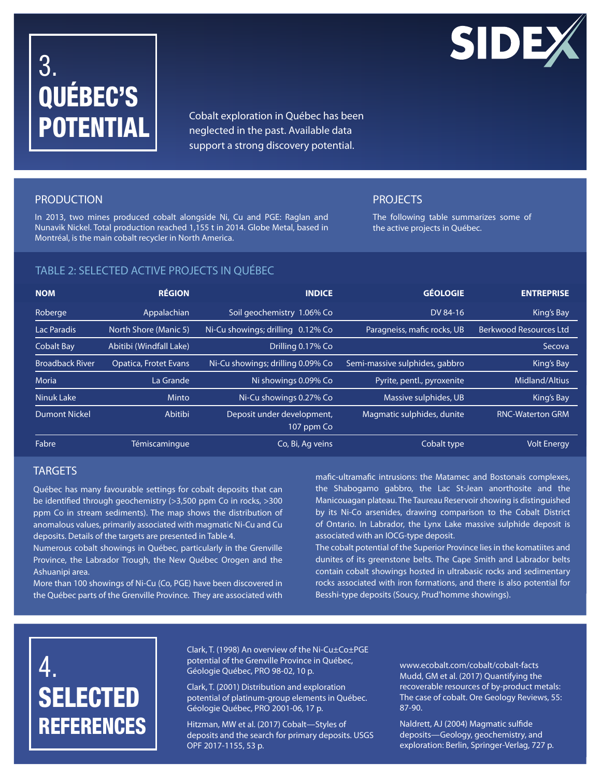# 3. QUÉBEC'S POTENTIAL

Cobalt exploration in Québec has been neglected in the past. Available data support a strong discovery potential.

#### PRODUCTION

In 2013, two mines produced cobalt alongside Ni, Cu and PGE: Raglan and Nunavik Nickel. Total production reached 1,155 t in 2014. Globe Metal, based in Montréal, is the main cobalt recycler in North America.

#### PROJECTS

The following table summarizes some of the active projects in Québec.

#### TABLE 2: SELECTED ACTIVE PROJECTS IN QUÉBEC

| <b>NOM</b>             | <b>RÉGION</b>                | <b>INDICE</b>                            | <b>GÉOLOGIE</b>                | <b>ENTREPRISE</b>             |
|------------------------|------------------------------|------------------------------------------|--------------------------------|-------------------------------|
| Roberge                | Appalachian                  | Soil geochemistry 1.06% Co               | DV 84-16                       | King's Bay                    |
| Lac Paradis            | North Shore (Manic 5)        | Ni-Cu showings; drilling 0.12% Co        | Paragneiss, mafic rocks, UB    | <b>Berkwood Resources Ltd</b> |
| <b>Cobalt Bay</b>      | Abitibi (Windfall Lake)      | Drilling 0.17% Co                        |                                | Secova                        |
| <b>Broadback River</b> | <b>Opatica, Frotet Evans</b> | Ni-Cu showings; drilling 0.09% Co        | Semi-massive sulphides, gabbro | King's Bay                    |
| <b>Moria</b>           | La Grande                    | Ni showings 0.09% Co                     | Pyrite, pentl., pyroxenite     | Midland/Altius                |
| Ninuk Lake             | Minto                        | Ni-Cu showings 0.27% Co                  | Massive sulphides, UB          | King's Bay                    |
| <b>Dumont Nickel</b>   | Abitibi                      | Deposit under development,<br>107 ppm Co | Magmatic sulphides, dunite     | <b>RNC-Waterton GRM</b>       |
| Fabre                  | Témiscaminque                | Co, Bi, Ag veins                         | Cobalt type                    | <b>Volt Energy</b>            |

#### **TARGETS**

Québec has many favourable settings for cobalt deposits that can be identified through geochemistry (>3,500 ppm Co in rocks, >300 ppm Co in stream sediments). The map shows the distribution of anomalous values, primarily associated with magmatic Ni-Cu and Cu deposits. Details of the targets are presented in Table 4.

Numerous cobalt showings in Québec, particularly in the Grenville Province, the Labrador Trough, the New Québec Orogen and the Ashuanipi area.

More than 100 showings of Ni-Cu (Co, PGE) have been discovered in the Québec parts of the Grenville Province. They are associated with mafic-ultramafic intrusions: the Matamec and Bostonais complexes, the Shabogamo gabbro, the Lac St-Jean anorthosite and the Manicouagan plateau. The Taureau Reservoir showing is distinguished by its Ni-Co arsenides, drawing comparison to the Cobalt District of Ontario. In Labrador, the Lynx Lake massive sulphide deposit is associated with an IOCG-type deposit.

The cobalt potential of the Superior Province lies in the komatiites and dunites of its greenstone belts. The Cape Smith and Labrador belts contain cobalt showings hosted in ultrabasic rocks and sedimentary rocks associated with iron formations, and there is also potential for Besshi-type deposits (Soucy, Prud'homme showings).

### 4. SELECTED **REFERENCES**

Clark, T. (1998) An overview of the Ni-Cu±Co±PGE potential of the Grenville Province in Québec, Géologie Québec, PRO 98-02, 10 p.

Clark, T. (2001) Distribution and exploration potential of platinum-group elements in Québec. Géologie Québec, PRO 2001-06, 17 p.

Hitzman, MW et al. (2017) Cobalt—Styles of deposits and the search for primary deposits. USGS OPF 2017-1155, 53 p.

www.ecobalt.com/cobalt/cobalt-facts Mudd, GM et al. (2017) Quantifying the recoverable resources of by-product metals: The case of cobalt. Ore Geology Reviews, 55: 87-90.

Naldrett, AJ (2004) Magmatic sulfide deposits—Geology, geochemistry, and exploration: Berlin, Springer-Verlag, 727 p.

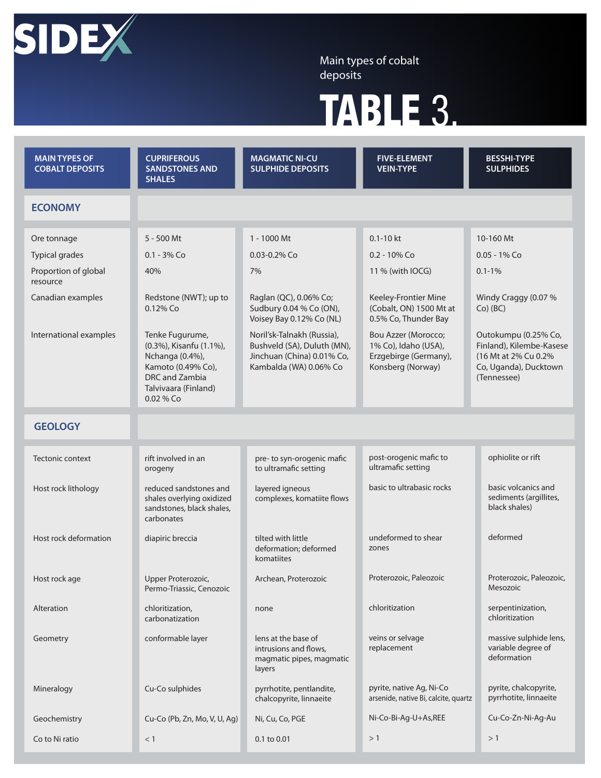

Main types of cobalt deposits

# TABLE 3.

| <b>MAIN TYPES OF</b><br><b>COBALT DEPOSITS</b> | <b>CUPRIFEROUS</b><br><b>SANDSTONES AND</b><br><b>SHALES</b>                                                                                 | <b>MAGMATIC NI-CU</b><br><b>SULPHIDE DEPOSITS</b>                                                                 | <b>FIVE-ELEMENT</b><br><b>VEIN-TYPE</b>                                                   | <b>BESSHI-TYPE</b><br><b>SULPHIDES</b>                                                                            |  |
|------------------------------------------------|----------------------------------------------------------------------------------------------------------------------------------------------|-------------------------------------------------------------------------------------------------------------------|-------------------------------------------------------------------------------------------|-------------------------------------------------------------------------------------------------------------------|--|
| <b>ECONOMY</b>                                 |                                                                                                                                              |                                                                                                                   |                                                                                           |                                                                                                                   |  |
| Ore tonnage                                    | $5 - 500$ Mt                                                                                                                                 | $1 - 1000$ Mt                                                                                                     | $0.1 - 10$ kt                                                                             | 10-160 Mt                                                                                                         |  |
| <b>Typical grades</b>                          | $0.1 - 3\%$ Co                                                                                                                               | $0.03 - 0.2\%$ Co                                                                                                 | $0.2 - 10\%$ Co                                                                           | $0.05 - 1\%$ Co                                                                                                   |  |
| Proportion of global<br>resource               | 40%                                                                                                                                          | 7%                                                                                                                | 11 % (with IOCG)                                                                          | $0.1 - 1\%$                                                                                                       |  |
| Canadian examples                              | Redstone (NWT); up to<br>0.12% Co                                                                                                            | Raglan (QC), 0.06% Co;<br>Sudbury 0.04 % Co (ON),<br>Voisey Bay 0.12% Co (NL)                                     | Keeley-Frontier Mine<br>(Cobalt, ON) 1500 Mt at<br>0.5% Co, Thunder Bay                   | Windy Craggy (0.07 %<br>$Co)$ (BC)                                                                                |  |
| International examples                         | Tenke Fugurume,<br>(0.3%), Kisanfu (1.1%),<br>Nchanga (0.4%),<br>Kamoto (0.49% Co),<br>DRC and Zambia<br>Talvivaara (Finland)<br>$0.02\%$ Co | Noril'sk-Talnakh (Russia),<br>Bushveld (SA), Duluth (MN),<br>Jinchuan (China) 0.01% Co,<br>Kambalda (WA) 0.06% Co | Bou Azzer (Morocco;<br>1% Co), Idaho (USA),<br>Erzgebirge (Germany),<br>Konsberg (Norway) | Outokumpu (0.25% Co,<br>Finland), Kilembe-Kasese<br>(16 Mt at 2% Cu 0.2%)<br>Co, Uganda), Ducktown<br>(Tennessee) |  |
| <b>GEOLOGY</b>                                 |                                                                                                                                              |                                                                                                                   |                                                                                           |                                                                                                                   |  |
| Tectonic context                               | rift involved in an<br>orogeny                                                                                                               | pre- to syn-orogenic mafic<br>to ultramafic setting                                                               | post-orogenic mafic to<br>ultramafic setting                                              | ophiolite or rift                                                                                                 |  |
| Host rock lithology                            | reduced sandstones and<br>shales overlying oxidized<br>sandstones, black shales,<br>carbonates                                               | layered igneous<br>complexes, komatiite flows                                                                     | basic to ultrabasic rocks                                                                 | basic volcanics and<br>sediments (argillites,<br>black shales)                                                    |  |
| Host rock deformation                          | diapiric breccia                                                                                                                             | tilted with little<br>deformation; deformed<br>komatiites                                                         | undeformed to shear<br>zones                                                              | deformed                                                                                                          |  |
| Host rock age                                  | Upper Proterozoic,<br>Permo-Triassic, Cenozoic                                                                                               | Archean, Proterozoic                                                                                              | Proterozoic, Paleozoic                                                                    | Proterozoic, Paleozoic,<br>Mesozoic                                                                               |  |
| Alteration                                     | chloritization,<br>carbonatization                                                                                                           | none                                                                                                              | chloritization                                                                            | serpentinization,<br>chloritization                                                                               |  |
| Geometry                                       | conformable layer                                                                                                                            | lens at the base of<br>intrusions and flows.<br>magmatic pipes, magmatic<br>layers                                | veins or selvage<br>replacement                                                           | massive sulphide lens,<br>variable degree of<br>deformation                                                       |  |
| Mineralogy                                     | Cu-Co sulphides                                                                                                                              | pyrrhotite, pentlandite,<br>chalcopyrite, linnaeite                                                               | pyrite, native Ag, Ni-Co<br>arsenide, native Bi, calcite, quartz                          | pyrite, chalcopyrite,<br>pyrrhotite, linnaeite                                                                    |  |
| Geochemistry                                   | Cu-Co (Pb, Zn, Mo, V, U, Ag)                                                                                                                 | Ni-Co-Bi-Ag-U+As,REE<br>Ni, Cu, Co, PGE                                                                           |                                                                                           | Cu-Co-Zn-Ni-Ag-Au                                                                                                 |  |
| Co to Ni ratio                                 | $<$ 1                                                                                                                                        | 0.1 to 0.01                                                                                                       | >1                                                                                        | >1                                                                                                                |  |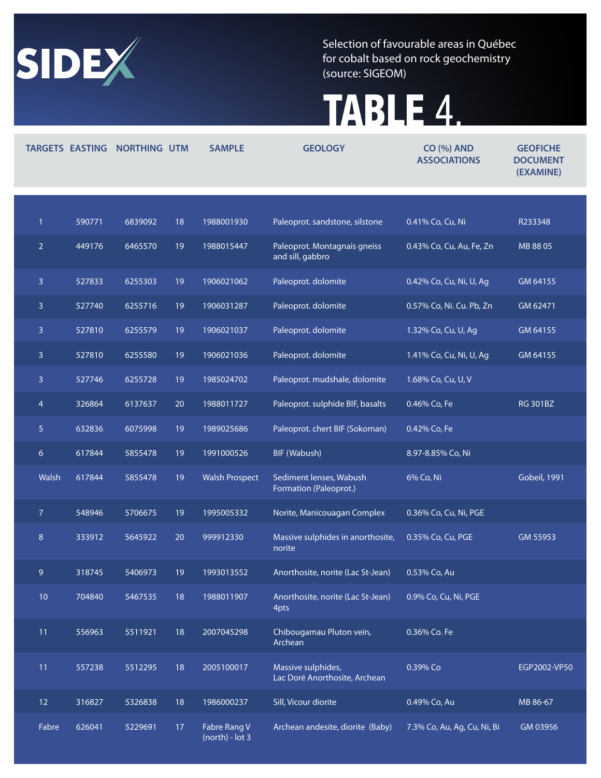

Selection of favourable areas in Québec for cobalt based on rock geochemistry (source: SIGEOM)

# TABLE 4.

|                | <b>TARGETS EASTING</b> | <b>NORTHING UTM</b> |    | <b>SAMPLE</b>                     | <b>GEOLOGY</b>                                      | <b>CO (%) AND</b><br><b>ASSOCIATIONS</b> | <b>GEOFICHE</b><br><b>DOCUMENT</b><br>(EXAMINE) |
|----------------|------------------------|---------------------|----|-----------------------------------|-----------------------------------------------------|------------------------------------------|-------------------------------------------------|
|                |                        |                     |    |                                   |                                                     |                                          |                                                 |
| $\mathbf{1}$   | 590771                 | 6839092             | 18 | 1988001930                        | Paleoprot. sandstone, silstone                      | 0.41% Co, Cu, Ni                         | R233348                                         |
| $\overline{2}$ | 449176                 | 6465570             | 19 | 1988015447                        | Paleoprot. Montagnais gneiss<br>and sill, gabbro    | 0.43% Co, Cu, Au, Fe, Zn                 | MB 88 05                                        |
| $\overline{3}$ | 527833                 | 6255303             | 19 | 1906021062                        | Paleoprot. dolomite                                 | 0.42% Co, Cu, Ni, U, Ag                  | GM 64155                                        |
| $\mathbf{3}$   | 527740                 | 6255716             | 19 | 1906031287                        | Paleoprot. dolomite                                 | 0.57% Co, Ni. Cu. Pb, Zn                 | GM 62471                                        |
| $\mathbf{3}$   | 527810                 | 6255579             | 19 | 1906021037                        | Paleoprot. dolomite                                 | 1.32% Co, Cu, U, Ag                      | GM 64155                                        |
| $\mathbf{3}$   | 527810                 | 6255580             | 19 | 1906021036                        | Paleoprot. dolomite                                 | 1.41% Co, Cu, Ni, U, Ag                  | GM 64155                                        |
| 3              | 527746                 | 6255728             | 19 | 1985024702                        | Paleoprot. mudshale, dolomite                       | 1.68% Co, Cu, U, V                       |                                                 |
| $\overline{4}$ | 326864                 | 6137637             | 20 | 1988011727                        | Paleoprot. sulphide BIF, basalts                    | 0.46% Co, Fe                             | <b>RG 301BZ</b>                                 |
| 5 <sup>1</sup> | 632836                 | 6075998             | 19 | 1989025686                        | Paleoprot. chert BIF (Sokoman)                      | 0.42% Co, Fe                             |                                                 |
| 6              | 617844                 | 5855478             | 19 | 1991000526                        | BIF (Wabush)                                        | 8.97-8.85% Co, Ni                        |                                                 |
| Walsh          | 617844                 | 5855478             | 19 | <b>Walsh Prospect</b>             | Sediment lenses, Wabush<br>Formation (Paleoprot.)   | 6% Co, Ni                                | <b>Gobeil, 1991</b>                             |
| $\overline{7}$ | 548946                 | 5706675             | 19 | 1995005332                        | Norite, Manicouagan Complex                         | 0.36% Co, Cu, Ni, PGE                    |                                                 |
| 8              | 333912                 | 5645922             | 20 | 999912330                         | Massive sulphides in anorthosite,<br>norite         | 0.35% Co, Cu, PGE                        | GM 55953                                        |
| 9              | 318745                 | 5406973             | 19 | 1993013552                        | Anorthosite, norite (Lac St-Jean)                   | 0.53% Co, Au                             |                                                 |
| 10             | 704840                 | 5467535             | 18 | 1988011907                        | Anorthosite, norite (Lac St-Jean)<br>4pts           | 0.9% Co, Cu, Ni, PGE                     |                                                 |
| 11             | 556963                 | 5511921             | 18 | 2007045298                        | Chibougamau Pluton vein,<br>Archean                 | 0.36% Co. Fe                             |                                                 |
| 11             | 557238                 | 5512295             | 18 | 2005100017                        | Massive sulphides,<br>Lac Doré Anorthosite, Archean | 0.39% Co                                 | EGP2002-VP50                                    |
| 12             | 316827                 | 5326838             | 18 | 1986000237                        | Sill, Vicour diorite                                | 0.49% Co, Au                             | MB 86-67                                        |
| Fabre          | 626041                 | 5229691             | 17 | Fabre Rang V<br>$(north) - lot 3$ | Archean andesite, diorite (Baby)                    | 7.3% Co, Au, Ag, Cu, Ni, Bi              | GM 03956                                        |